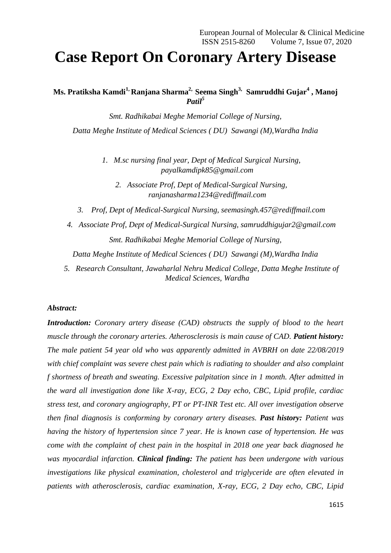# **Case Report On Coronary Artery Disease**

**Ms. Pratiksha Kamdi1, Ranjana Sharma2, Seema Singh3, Samruddhi Gujar<sup>4</sup> , Manoj**  *Patil<sup>5</sup>*

*Smt. Radhikabai Meghe Memorial College of Nursing, Datta Meghe Institute of Medical Sciences ( DU) Sawangi (M),Wardha India*

> *1. M.sc nursing final year, Dept of Medical Surgical Nursing, payalkamdipk85@gmail.com*

*2. Associate Prof, Dept of Medical-Surgical Nursing, ranjanasharma1234@rediffmail.com*

- *3. Prof, Dept of Medical-Surgical Nursing, seemasingh.457@rediffmail.com*
- *4. Associate Prof, Dept of Medical-Surgical Nursing, samruddhigujar2@gmail.com Smt. Radhikabai Meghe Memorial College of Nursing,*

*Datta Meghe Institute of Medical Sciences ( DU) Sawangi (M),Wardha India*

*5. Research Consultant, Jawaharlal Nehru Medical College, Datta Meghe Institute of Medical Sciences, Wardha*

#### *Abstract:*

*Introduction: Coronary artery disease (CAD) obstructs the supply of blood to the heart muscle through the coronary arteries. Atherosclerosis is main cause of CAD. Patient history: The male patient 54 year old who was apparently admitted in AVBRH on date 22/08/2019 with chief complaint was severe chest pain which is radiating to shoulder and also complaint f shortness of breath and sweating. Excessive palpitation since in 1 month. After admitted in the ward all investigation done like X-ray, ECG, 2 Day echo, CBC, Lipid profile, cardiac stress test, and coronary angiography, PT or PT-INR Test etc. All over investigation observe then final diagnosis is conforming by coronary artery diseases. Past history: Patient was having the history of hypertension since 7 year. He is known case of hypertension. He was come with the complaint of chest pain in the hospital in 2018 one year back diagnosed he was myocardial infarction. Clinical finding: The patient has been undergone with various investigations like physical examination, cholesterol and triglyceride are often elevated in patients with atherosclerosis, cardiac examination, X-ray, ECG, 2 Day echo, CBC, Lipid*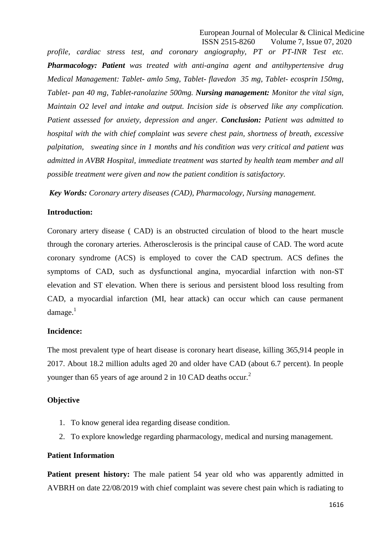*profile, cardiac stress test, and coronary angiography, PT or PT-INR Test etc. Pharmacology: Patient was treated with anti-angina agent and antihypertensive drug Medical Management: Tablet- amlo 5mg, Tablet- flavedon 35 mg, Tablet- ecosprin 150mg, Tablet- pan 40 mg, Tablet-ranolazine 500mg. Nursing management: Monitor the vital sign, Maintain O2 level and intake and output. Incision side is observed like any complication. Patient assessed for anxiety, depression and anger. Conclusion: Patient was admitted to hospital with the with chief complaint was severe chest pain, shortness of breath, excessive palpitation, sweating since in 1 months and his condition was very critical and patient was admitted in AVBR Hospital, immediate treatment was started by health team member and all possible treatment were given and now the patient condition is satisfactory.*

*Key Words: Coronary artery diseases (CAD), Pharmacology, Nursing management.*

## **Introduction:**

Coronary artery disease ( CAD) is an obstructed circulation of blood to the heart muscle through the coronary arteries. Atherosclerosis is the principal cause of CAD. The word acute coronary syndrome (ACS) is employed to cover the CAD spectrum. ACS defines the symptoms of CAD, such as dysfunctional angina, myocardial infarction with non-ST elevation and ST elevation. When there is serious and persistent blood loss resulting from CAD, a myocardial infarction (MI, hear attack) can occur which can cause permanent  $d$ amage.<sup>1</sup>

#### **Incidence:**

The most prevalent type of heart disease is coronary heart disease, killing 365,914 people in 2017. About 18.2 million adults aged 20 and older have CAD (about 6.7 percent). In people younger than 65 years of age around 2 in 10 CAD deaths occur.<sup>2</sup>

## **Objective**

- 1. To know general idea regarding disease condition.
- 2. To explore knowledge regarding pharmacology, medical and nursing management.

#### **Patient Information**

**Patient present history:** The male patient 54 year old who was apparently admitted in AVBRH on date 22/08/2019 with chief complaint was severe chest pain which is radiating to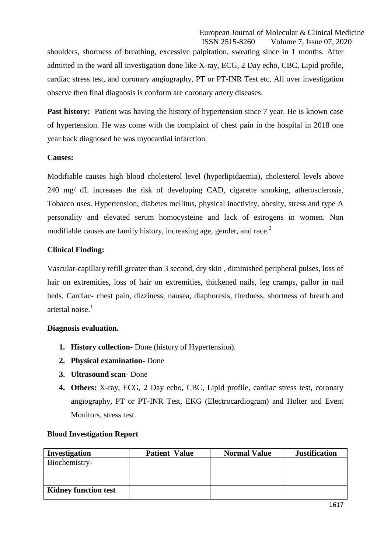shoulders, shortness of breathing, excessive palpitation, sweating since in 1 months. After admitted in the ward all investigation done like X-ray, ECG, 2 Day echo, CBC, Lipid profile, cardiac stress test, and coronary angiography, PT or PT-INR Test etc. All over investigation observe then final diagnosis is conform are coronary artery diseases.

**Past history:** Patient was having the history of hypertension since 7 year. He is known case of hypertension. He was come with the complaint of chest pain in the hospital in 2018 one year back diagnosed he was myocardial infarction.

# **Causes:**

Modifiable causes high blood cholesterol level (hyperlipidaemia), cholesterol levels above 240 mg/ dL increases the risk of developing CAD, cigarette smoking, atherosclerosis, Tobacco uses. Hypertension, diabetes mellitus, physical inactivity, obesity, stress and type A personality and elevated serum homocysteine and lack of estrogens in women. Non modifiable causes are family history, increasing age, gender, and race.<sup>3</sup>

# **Clinical Finding:**

Vascular-capillary refill greater than 3 second, dry skin , diminished peripheral pulses, loss of hair on extremities, loss of hair on extremities, thickened nails, leg cramps, pallor in nail beds. Cardiac- chest pain, dizziness, nausea, diaphoresis, tiredness, shortness of breath and arterial noise. 1

# **Diagnosis evaluation.**

- **1. History collection-** Done (history of Hypertension).
- **2. Physical examination-** Done
- **3. Ultrasound scan-** Done
- **4. Others:** X-ray, ECG, 2 Day echo, CBC, Lipid profile, cardiac stress test, coronary angiography, PT or PT-INR Test, EKG (Electrocardiogram) and Holter and Event Monitors, stress test.

| <b>Patient Value</b> | <b>Normal Value</b> | <b>Justification</b> |
|----------------------|---------------------|----------------------|
|                      |                     |                      |
|                      |                     |                      |
|                      |                     |                      |
|                      |                     |                      |
|                      |                     |                      |

# **Blood Investigation Report**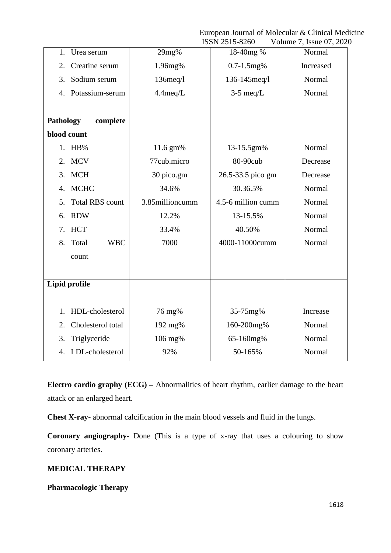European Journal of Molecular & Clinical Medicine

|                              |                 | ISSN 2515-8260     | Volume 7, Issue 07, 2020 |
|------------------------------|-----------------|--------------------|--------------------------|
| Urea serum<br>1.             | 29mg%           | 18-40mg %          | Normal                   |
| Creatine serum<br>2.         | 1.96mg%         | $0.7 - 1.5$ mg%    | Increased                |
| Sodium serum<br>3.           | $136$ meq $/1$  | 136-145meq/l       | Normal                   |
| 4. Potassium-serum           | $4.4$ meq/L     | $3-5$ meq/L        | Normal                   |
|                              |                 |                    |                          |
| <b>Pathology</b><br>complete |                 |                    |                          |
| blood count                  |                 |                    |                          |
| 1. HB%                       | 11.6 gm%        | 13-15.5gm%         | Normal                   |
| 2. MCV                       | 77cub.micro     | 80-90cub           | Decrease                 |
| <b>MCH</b><br>3.             | 30 pico.gm      | 26.5-33.5 pico gm  | Decrease                 |
| <b>MCHC</b><br>4.            | 34.6%           | 30.36.5%           | Normal                   |
| <b>Total RBS count</b><br>5. | 3.85millioncumm | 4.5-6 million cumm | Normal                   |
| <b>RDW</b><br>6.             | 12.2%           | 13-15.5%           | Normal                   |
| <b>HCT</b><br>7.             | 33.4%           | 40.50%             | Normal                   |
| 8.<br>Total<br><b>WBC</b>    | 7000            | 4000-11000cumm     | Normal                   |
| count                        |                 |                    |                          |
|                              |                 |                    |                          |
| Lipid profile                |                 |                    |                          |
|                              |                 |                    |                          |
| HDL-cholesterol<br>1.        | 76 mg%          | 35-75mg%           | Increase                 |
| Cholesterol total<br>2.      | 192 mg%         | 160-200mg%         | Normal                   |
| Triglyceride<br>3.           | 106 mg%         | 65-160mg%          | Normal                   |
| LDL-cholesterol<br>4.        | 92%             | 50-165%            | Normal                   |

**Electro cardio graphy (ECG) –** Abnormalities of heart rhythm, earlier damage to the heart attack or an enlarged heart.

**Chest X-ray**- abnormal calcification in the main blood vessels and fluid in the lungs.

**Coronary angiography**- Done (This is a type of x-ray that uses a colouring to show coronary arteries.

# **MEDICAL THERAPY**

**Pharmacologic Therapy**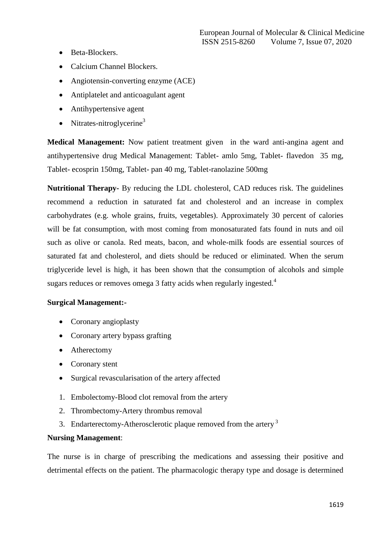- Beta-Blockers.
- Calcium Channel Blockers.
- Angiotensin-converting enzyme (ACE)
- Antiplatelet and anticoagulant agent
- Antihypertensive agent
- Nitrates-nitroglycerine<sup>3</sup>

**Medical Management:** Now patient treatment given in the ward anti-angina agent and antihypertensive drug Medical Management: Tablet- amlo 5mg, Tablet- flavedon 35 mg, Tablet- ecosprin 150mg, Tablet- pan 40 mg, Tablet-ranolazine 500mg

**Nutritional Therapy-** By reducing the LDL cholesterol, CAD reduces risk. The guidelines recommend a reduction in saturated fat and cholesterol and an increase in complex carbohydrates (e.g. whole grains, fruits, vegetables). Approximately 30 percent of calories will be fat consumption, with most coming from monosaturated fats found in nuts and oil such as olive or canola. Red meats, bacon, and whole-milk foods are essential sources of saturated fat and cholesterol, and diets should be reduced or eliminated. When the serum triglyceride level is high, it has been shown that the consumption of alcohols and simple sugars reduces or removes omega 3 fatty acids when regularly ingested.<sup>4</sup>

# **Surgical Management:-**

- Coronary angioplasty
- Coronary artery bypass grafting
- Atherectomy
- Coronary stent
- Surgical revascularisation of the artery affected
- 1. Embolectomy-Blood clot removal from the artery
- 2. Thrombectomy-Artery thrombus removal
- 3. Endarterectomy-Atherosclerotic plaque removed from the artery  $3$

# **Nursing Management**:

The nurse is in charge of prescribing the medications and assessing their positive and detrimental effects on the patient. The pharmacologic therapy type and dosage is determined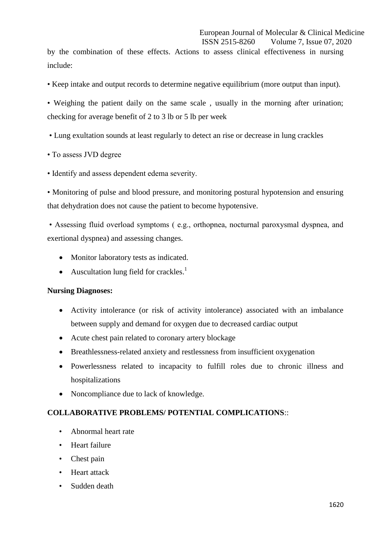by the combination of these effects. Actions to assess clinical effectiveness in nursing include:

• Keep intake and output records to determine negative equilibrium (more output than input).

• Weighing the patient daily on the same scale , usually in the morning after urination; checking for average benefit of 2 to 3 lb or 5 lb per week

- Lung exultation sounds at least regularly to detect an rise or decrease in lung crackles
- To assess JVD degree
- Identify and assess dependent edema severity.

• Monitoring of pulse and blood pressure, and monitoring postural hypotension and ensuring that dehydration does not cause the patient to become hypotensive.

• Assessing fluid overload symptoms ( e.g., orthopnea, nocturnal paroxysmal dyspnea, and exertional dyspnea) and assessing changes.

- Monitor laboratory tests as indicated.
- Auscultation lung field for crackles.<sup>1</sup>

# **Nursing Diagnoses:**

- Activity intolerance (or risk of activity intolerance) associated with an imbalance between supply and demand for oxygen due to decreased cardiac output
- Acute chest pain related to coronary artery blockage
- Breathlessness-related anxiety and restlessness from insufficient oxygenation
- Powerlessness related to incapacity to fulfill roles due to chronic illness and hospitalizations
- Noncompliance due to lack of knowledge.

# **COLLABORATIVE PROBLEMS/ POTENTIAL COMPLICATIONS**::

- Abnormal heart rate
- Heart failure
- Chest pain
- Heart attack
- Sudden death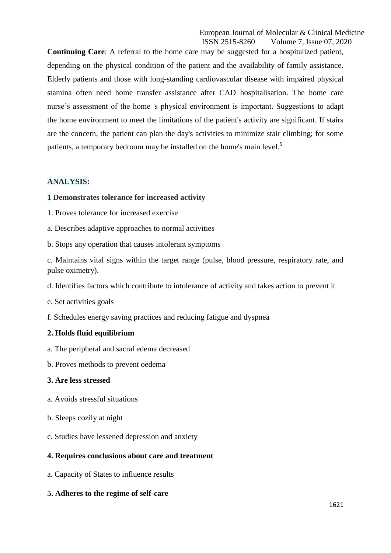**Continuing Care**: A referral to the home care may be suggested for a hospitalized patient, depending on the physical condition of the patient and the availability of family assistance. Elderly patients and those with long-standing cardiovascular disease with impaired physical stamina often need home transfer assistance after CAD hospitalisation. The home care nurse's assessment of the home 's physical environment is important. Suggestions to adapt the home environment to meet the limitations of the patient's activity are significant. If stairs are the concern, the patient can plan the day's activities to minimize stair climbing; for some patients, a temporary bedroom may be installed on the home's main level.<sup>5</sup>

## **ANALYSIS:**

## **1 Demonstrates tolerance for increased activity**

- 1. Proves tolerance for increased exercise
- a. Describes adaptive approaches to normal activities
- b. Stops any operation that causes intolerant symptoms

c. Maintains vital signs within the target range (pulse, blood pressure, respiratory rate, and pulse oximetry).

- d. Identifies factors which contribute to intolerance of activity and takes action to prevent it
- e. Set activities goals
- f. Schedules energy saving practices and reducing fatigue and dyspnea

#### **2. Holds fluid equilibrium**

- a. The peripheral and sacral edema decreased
- b. Proves methods to prevent oedema

#### **3. Are less stressed**

- a. Avoids stressful situations
- b. Sleeps cozily at night
- c. Studies have lessened depression and anxiety

# **4. Requires conclusions about care and treatment**

- a. Capacity of States to influence results
- **5. Adheres to the regime of self-care**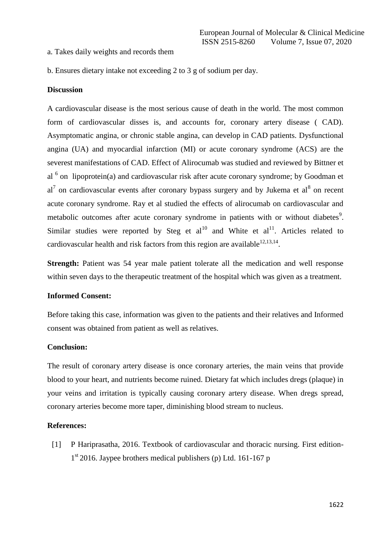#### a. Takes daily weights and records them

b. Ensures dietary intake not exceeding 2 to 3 g of sodium per day.

#### **Discussion**

A cardiovascular disease is the most serious cause of death in the world. The most common form of cardiovascular disses is, and accounts for, coronary artery disease ( CAD). Asymptomatic angina, or chronic stable angina, can develop in CAD patients. Dysfunctional angina (UA) and myocardial infarction (MI) or acute coronary syndrome (ACS) are the severest manifestations of CAD. Effect of Alirocumab was studied and reviewed by Bittner et al  $6$  on lipoprotein(a) and cardiovascular risk after acute coronary syndrome; by Goodman et  $al^7$  on cardiovascular events after coronary bypass surgery and by Jukema et  $al^8$  on recent acute coronary syndrome. Ray et al studied the effects of alirocumab on cardiovascular and metabolic outcomes after acute coronary syndrome in patients with or without diabetes<sup>9</sup>. Similar studies were reported by Steg et  $al^{10}$  and White et  $al^{11}$ . Articles related to cardiovascular health and risk factors from this region are available  $12,13,14$ .

**Strength:** Patient was 54 year male patient tolerate all the medication and well response within seven days to the therapeutic treatment of the hospital which was given as a treatment.

#### **Informed Consent:**

Before taking this case, information was given to the patients and their relatives and Informed consent was obtained from patient as well as relatives.

#### **Conclusion:**

The result of coronary artery disease is once coronary arteries, the main veins that provide blood to your heart, and nutrients become ruined. Dietary fat which includes dregs (plaque) in your veins and irritation is typically causing coronary artery disease. When dregs spread, coronary arteries become more taper, diminishing blood stream to nucleus.

#### **References:**

[1] P Hariprasatha, 2016. Textbook of cardiovascular and thoracic nursing. First edition-1<sup>st</sup> 2016. Jaypee brothers medical publishers (p) Ltd. 161-167 p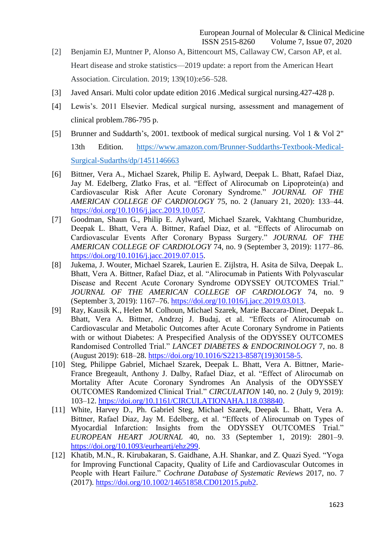- [2] Benjamin EJ, Muntner P, Alonso A, Bittencourt MS, Callaway CW, Carson AP, et al. Heart disease and stroke statistics—2019 update: a report from the American Heart Association. Circulation. 2019; 139(10):e56–528.
- [3] Javed Ansari. Multi color update edition 2016 .Medical surgical nursing.427-428 p.
- [4] Lewis's. 2011 Elsevier. Medical surgical nursing, assessment and management of clinical problem.786-795 p.
- [5] Brunner and Suddarth's, 2001. textbook of medical surgical nursing. Vol 1 & Vol 2" 13th Edition. [https://www.amazon.com/Brunner-Suddarths-Textbook-Medical-](https://www.amazon.com/Brunner-Suddarths-Textbook-Medical-Surgical-Sudarths/dp/1451146663)[Surgical-Sudarths/dp/1451146663](https://www.amazon.com/Brunner-Suddarths-Textbook-Medical-Surgical-Sudarths/dp/1451146663)
- [6] Bittner, Vera A., Michael Szarek, Philip E. Aylward, Deepak L. Bhatt, Rafael Diaz, Jay M. Edelberg, Zlatko Fras, et al. "Effect of Alirocumab on Lipoprotein(a) and Cardiovascular Risk After Acute Coronary Syndrome." JOURNAL OF THE *AMERICAN COLLEGE OF CARDIOLOGY* 75, no. 2 (January 21, 2020): 133–44. [https://doi.org/10.1016/j.jacc.2019.10.057.](https://doi.org/10.1016/j.jacc.2019.10.057)
- [7] Goodman, Shaun G., Philip E. Aylward, Michael Szarek, Vakhtang Chumburidze, Deepak L. Bhatt, Vera A. Bittner, Rafael Diaz, et al. "Effects of Alirocumab on Cardiovascular Events After Coronary Bypass Surgery.‖ *JOURNAL OF THE AMERICAN COLLEGE OF CARDIOLOGY* 74, no. 9 (September 3, 2019): 1177–86. [https://doi.org/10.1016/j.jacc.2019.07.015.](https://doi.org/10.1016/j.jacc.2019.07.015)
- [8] Jukema, J. Wouter, Michael Szarek, Laurien E. Zijlstra, H. Asita de Silva, Deepak L. Bhatt, Vera A. Bittner, Rafael Diaz, et al. "Alirocumab in Patients With Polyvascular Disease and Recent Acute Coronary Syndrome ODYSSEY OUTCOMES Trial." *JOURNAL OF THE AMERICAN COLLEGE OF CARDIOLOGY* 74, no. 9 (September 3, 2019): 1167–76. [https://doi.org/10.1016/j.jacc.2019.03.013.](https://doi.org/10.1016/j.jacc.2019.03.013)
- [9] Ray, Kausik K., Helen M. Colhoun, Michael Szarek, Marie Baccara-Dinet, Deepak L. Bhatt, Vera A. Bittner, Andrzej J. Budaj, et al. "Effects of Alirocumab on Cardiovascular and Metabolic Outcomes after Acute Coronary Syndrome in Patients with or without Diabetes: A Prespecified Analysis of the ODYSSEY OUTCOMES Randomised Controlled Trial." *LANCET DIABETES & ENDOCRINOLOGY* 7, no. 8 (August 2019): 618–28. [https://doi.org/10.1016/S2213-8587\(19\)30158-5.](https://doi.org/10.1016/S2213-8587(19)30158-5)
- [10] Steg, Philippe Gabriel, Michael Szarek, Deepak L. Bhatt, Vera A. Bittner, Marie-France Bregeault, Anthony J. Dalby, Rafael Diaz, et al. "Effect of Alirocumab on Mortality After Acute Coronary Syndromes An Analysis of the ODYSSEY OUTCOMES Randomized Clinical Trial.‖ *CIRCULATION* 140, no. 2 (July 9, 2019): 103–12. [https://doi.org/10.1161/CIRCULATIONAHA.118.038840.](https://doi.org/10.1161/CIRCULATIONAHA.118.038840)
- [11] White, Harvey D., Ph. Gabriel Steg, Michael Szarek, Deepak L. Bhatt, Vera A. Bittner, Rafael Diaz, Jay M. Edelberg, et al. "Effects of Alirocumab on Types of Myocardial Infarction: Insights from the ODYSSEY OUTCOMES Trial." *EUROPEAN HEART JOURNAL* 40, no. 33 (September 1, 2019): 2801–9. [https://doi.org/10.1093/eurheartj/ehz299.](https://doi.org/10.1093/eurheartj/ehz299)
- [12] Khatib, M.N., R. Kirubakaran, S. Gaidhane, A.H. Shankar, and Z. Quazi Syed. "Yoga for Improving Functional Capacity, Quality of Life and Cardiovascular Outcomes in People with Heart Failure.‖ *Cochrane Database of Systematic Reviews* 2017, no. 7 (2017). [https://doi.org/10.1002/14651858.CD012015.pub2.](https://doi.org/10.1002/14651858.CD012015.pub2)